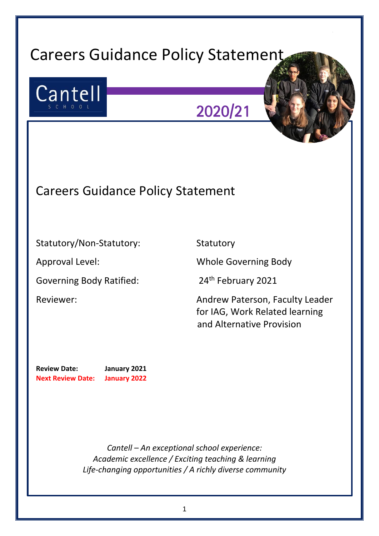# Careers Guidance Policy Statement

Insert picture here



2020/21

## Careers Guidance Policy Statement

Statutory/Non-Statutory: Statutory

Governing Body Ratified: 24<sup>th</sup> February 2021

Approval Level: Whole Governing Body

Reviewer: Andrew Paterson, Faculty Leader for IAG, Work Related learning and Alternative Provision

**Review Date: January 2021 Next Review Date: January 2022** 

> *Cantell – An exceptional school experience: Academic excellence / Exciting teaching & learning Life-changing opportunities / A richly diverse community*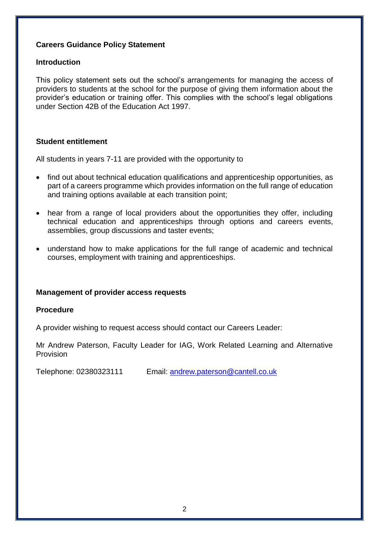#### **Careers Guidance Policy Statement**

#### **Introduction**

This policy statement sets out the school's arrangements for managing the access of providers to students at the school for the purpose of giving them information about the provider's education or training offer. This complies with the school's legal obligations under Section 42B of the Education Act 1997.

#### **Student entitlement**

All students in years 7-11 are provided with the opportunity to

- find out about technical education qualifications and apprenticeship opportunities, as part of a careers programme which provides information on the full range of education and training options available at each transition point;
- hear from a range of local providers about the opportunities they offer, including technical education and apprenticeships through options and careers events, assemblies, group discussions and taster events;
- understand how to make applications for the full range of academic and technical courses, employment with training and apprenticeships.

#### **Management of provider access requests**

#### **Procedure**

A provider wishing to request access should contact our Careers Leader:

Mr Andrew Paterson, Faculty Leader for IAG, Work Related Learning and Alternative Provision

Telephone: 02380323111 Email: [andrew.paterson@cantell.co.uk](mailto:andrew.paterson@cantell.co.uk)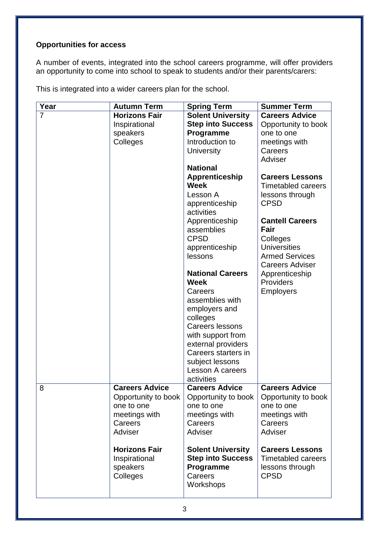### **Opportunities for access**

A number of events, integrated into the school careers programme, will offer providers an opportunity to come into school to speak to students and/or their parents/carers:

This is integrated into a wider careers plan for the school.

| Year           | <b>Autumn Term</b>    | <b>Spring Term</b>                     | <b>Summer Term</b>        |
|----------------|-----------------------|----------------------------------------|---------------------------|
| $\overline{7}$ | <b>Horizons Fair</b>  | <b>Solent University</b>               | <b>Careers Advice</b>     |
|                | Inspirational         | <b>Step into Success</b>               | Opportunity to book       |
|                | speakers              | Programme                              | one to one                |
|                | Colleges              | Introduction to                        | meetings with             |
|                |                       | University                             | Careers                   |
|                |                       |                                        | Adviser                   |
|                |                       | <b>National</b>                        |                           |
|                |                       | <b>Apprenticeship</b>                  | <b>Careers Lessons</b>    |
|                |                       | <b>Week</b>                            | <b>Timetabled careers</b> |
|                |                       | Lesson A                               | lessons through           |
|                |                       | apprenticeship                         | <b>CPSD</b>               |
|                |                       | activities                             |                           |
|                |                       | Apprenticeship                         | <b>Cantell Careers</b>    |
|                |                       | assemblies                             | Fair                      |
|                |                       | <b>CPSD</b>                            | Colleges                  |
|                |                       | apprenticeship                         | <b>Universities</b>       |
|                |                       | lessons                                | <b>Armed Services</b>     |
|                |                       |                                        | <b>Careers Adviser</b>    |
|                |                       | <b>National Careers</b><br><b>Week</b> | Apprenticeship            |
|                |                       |                                        | <b>Providers</b>          |
|                |                       | Careers<br>assemblies with             | <b>Employers</b>          |
|                |                       | employers and                          |                           |
|                |                       | colleges                               |                           |
|                |                       | <b>Careers lessons</b>                 |                           |
|                |                       | with support from                      |                           |
|                |                       | external providers                     |                           |
|                |                       | Careers starters in                    |                           |
|                |                       | subject lessons                        |                           |
|                |                       | <b>Lesson A careers</b>                |                           |
|                |                       | activities                             |                           |
| 8              | <b>Careers Advice</b> | <b>Careers Advice</b>                  | <b>Careers Advice</b>     |
|                | Opportunity to book   | Opportunity to book                    | Opportunity to book       |
|                | one to one            | one to one                             | one to one                |
|                | meetings with         | meetings with                          | meetings with             |
|                | Careers               | Careers                                | Careers                   |
|                | Adviser               | Adviser                                | Adviser                   |
|                |                       |                                        |                           |
|                | <b>Horizons Fair</b>  | <b>Solent University</b>               | <b>Careers Lessons</b>    |
|                | Inspirational         | <b>Step into Success</b>               | <b>Timetabled careers</b> |
|                | speakers              | Programme                              | lessons through           |
|                | Colleges              | Careers                                | <b>CPSD</b>               |
|                |                       | Workshops                              |                           |
|                |                       |                                        |                           |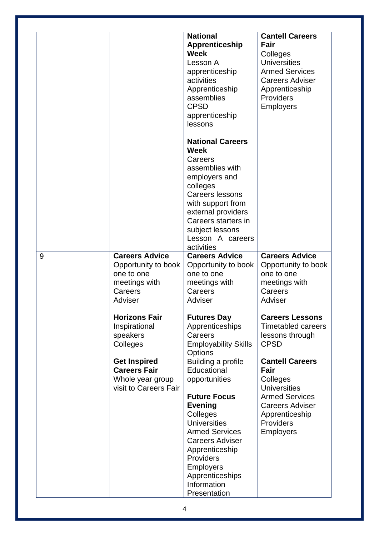|   |                                                                                                                                            | <b>National</b><br><b>Apprenticeship</b><br><b>Week</b><br>Lesson A<br>apprenticeship<br>activities<br>Apprenticeship<br>assemblies<br><b>CPSD</b><br>apprenticeship<br>lessons                                                                   | <b>Cantell Careers</b><br>Fair<br>Colleges<br><b>Universities</b><br><b>Armed Services</b><br><b>Careers Adviser</b><br>Apprenticeship<br><b>Providers</b><br><b>Employers</b> |
|---|--------------------------------------------------------------------------------------------------------------------------------------------|---------------------------------------------------------------------------------------------------------------------------------------------------------------------------------------------------------------------------------------------------|--------------------------------------------------------------------------------------------------------------------------------------------------------------------------------|
|   |                                                                                                                                            | <b>National Careers</b><br><b>Week</b><br>Careers<br>assemblies with<br>employers and<br>colleges<br>Careers lessons<br>with support from<br>external providers<br>Careers starters in<br>subject lessons<br>Lesson A careers<br>activities       |                                                                                                                                                                                |
| 9 | <b>Careers Advice</b><br>Opportunity to book<br>one to one<br>meetings with<br>Careers<br>Adviser<br><b>Horizons Fair</b><br>Inspirational | <b>Careers Advice</b><br>Opportunity to book<br>one to one<br>meetings with<br>Careers<br>Adviser<br><b>Futures Day</b><br>Apprenticeships                                                                                                        | <b>Careers Advice</b><br>Opportunity to book<br>one to one<br>meetings with<br>Careers<br>Adviser<br><b>Careers Lessons</b><br><b>Timetabled careers</b>                       |
|   | speakers<br>Colleges<br><b>Get Inspired</b><br><b>Careers Fair</b>                                                                         | Careers<br><b>Employability Skills</b><br>Options<br>Building a profile<br>Educational                                                                                                                                                            | lessons through<br><b>CPSD</b><br><b>Cantell Careers</b><br>Fair                                                                                                               |
|   | Whole year group<br>visit to Careers Fair                                                                                                  | opportunities<br><b>Future Focus</b><br><b>Evening</b><br>Colleges<br><b>Universities</b><br><b>Armed Services</b><br><b>Careers Adviser</b><br>Apprenticeship<br>Providers<br><b>Employers</b><br>Apprenticeships<br>Information<br>Presentation | Colleges<br><b>Universities</b><br><b>Armed Services</b><br><b>Careers Adviser</b><br>Apprenticeship<br>Providers<br><b>Employers</b>                                          |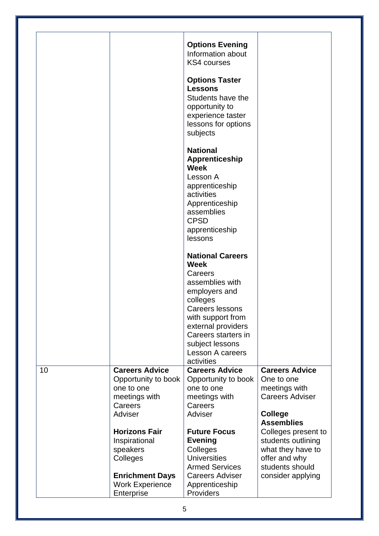|    |                                                                                        | <b>Options Evening</b>                                                                                   |                                                                                |
|----|----------------------------------------------------------------------------------------|----------------------------------------------------------------------------------------------------------|--------------------------------------------------------------------------------|
|    |                                                                                        | Information about<br><b>KS4 courses</b>                                                                  |                                                                                |
|    |                                                                                        | <b>Options Taster</b><br><b>Lessons</b><br>Students have the                                             |                                                                                |
|    |                                                                                        | opportunity to<br>experience taster<br>lessons for options<br>subjects                                   |                                                                                |
|    |                                                                                        | <b>National</b><br>Apprenticeship<br><b>Week</b><br>Lesson A                                             |                                                                                |
|    |                                                                                        | apprenticeship<br>activities<br>Apprenticeship<br>assemblies<br><b>CPSD</b><br>apprenticeship<br>lessons |                                                                                |
|    |                                                                                        | <b>National Careers</b><br><b>Week</b>                                                                   |                                                                                |
|    |                                                                                        | Careers<br>assemblies with<br>employers and<br>colleges                                                  |                                                                                |
|    |                                                                                        | <b>Careers lessons</b><br>with support from<br>external providers<br>Careers starters in                 |                                                                                |
|    |                                                                                        | subject lessons<br><b>Lesson A careers</b><br>activities                                                 |                                                                                |
| 10 | <b>Careers Advice</b><br>Opportunity to book<br>one to one<br>meetings with<br>Careers | <b>Careers Advice</b><br>Opportunity to book<br>one to one<br>meetings with<br>Careers                   | <b>Careers Advice</b><br>One to one<br>meetings with<br><b>Careers Adviser</b> |
|    | Adviser<br><b>Horizons Fair</b>                                                        | Adviser<br><b>Future Focus</b>                                                                           | <b>College</b><br><b>Assemblies</b><br>Colleges present to                     |
|    | Inspirational<br>speakers<br>Colleges                                                  | <b>Evening</b><br>Colleges<br><b>Universities</b><br><b>Armed Services</b>                               | students outlining<br>what they have to<br>offer and why<br>students should    |
|    | <b>Enrichment Days</b><br><b>Work Experience</b><br>Enterprise                         | <b>Careers Adviser</b><br>Apprenticeship<br>Providers                                                    | consider applying                                                              |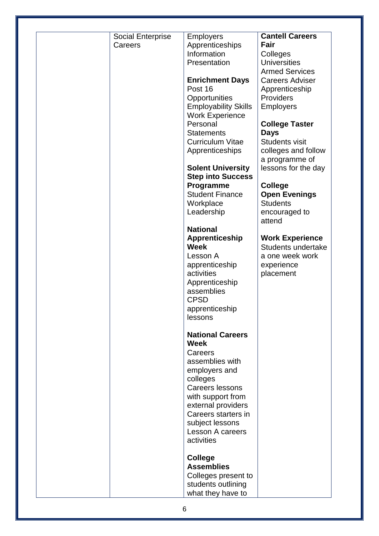| <b>Social Enterprise</b> | <b>Employers</b>            | <b>Cantell Careers</b>                |
|--------------------------|-----------------------------|---------------------------------------|
| Careers                  | Apprenticeships             | Fair                                  |
|                          | Information                 | Colleges                              |
|                          | Presentation                | <b>Universities</b>                   |
|                          |                             | <b>Armed Services</b>                 |
|                          | <b>Enrichment Days</b>      | <b>Careers Adviser</b>                |
|                          | Post 16                     | Apprenticeship                        |
|                          | Opportunities               | Providers                             |
|                          | <b>Employability Skills</b> | <b>Employers</b>                      |
|                          | <b>Work Experience</b>      |                                       |
|                          | Personal                    | <b>College Taster</b>                 |
|                          | <b>Statements</b>           | <b>Days</b>                           |
|                          | <b>Curriculum Vitae</b>     | <b>Students visit</b>                 |
|                          | Apprenticeships             | colleges and follow<br>a programme of |
|                          | <b>Solent University</b>    | lessons for the day                   |
|                          | <b>Step into Success</b>    |                                       |
|                          | Programme                   | <b>College</b>                        |
|                          | <b>Student Finance</b>      | <b>Open Evenings</b>                  |
|                          | Workplace                   | <b>Students</b>                       |
|                          | Leadership                  | encouraged to                         |
|                          |                             | attend                                |
|                          | <b>National</b>             |                                       |
|                          | <b>Apprenticeship</b>       | <b>Work Experience</b>                |
|                          | <b>Week</b>                 | Students undertake                    |
|                          | Lesson A                    | a one week work                       |
|                          | apprenticeship              | experience                            |
|                          | activities                  | placement                             |
|                          | Apprenticeship              |                                       |
|                          | assemblies                  |                                       |
|                          | <b>CPSD</b>                 |                                       |
|                          | apprenticeship              |                                       |
|                          | lessons                     |                                       |
|                          | <b>National Careers</b>     |                                       |
|                          | <b>Week</b>                 |                                       |
|                          | Careers                     |                                       |
|                          | assemblies with             |                                       |
|                          | employers and               |                                       |
|                          | colleges                    |                                       |
|                          | <b>Careers lessons</b>      |                                       |
|                          | with support from           |                                       |
|                          | external providers          |                                       |
|                          | Careers starters in         |                                       |
|                          | subject lessons             |                                       |
|                          | Lesson A careers            |                                       |
|                          | activities                  |                                       |
|                          | <b>College</b>              |                                       |
|                          | <b>Assemblies</b>           |                                       |
|                          |                             |                                       |
|                          | Colleges present to         |                                       |
|                          | students outlining          |                                       |
|                          | what they have to           |                                       |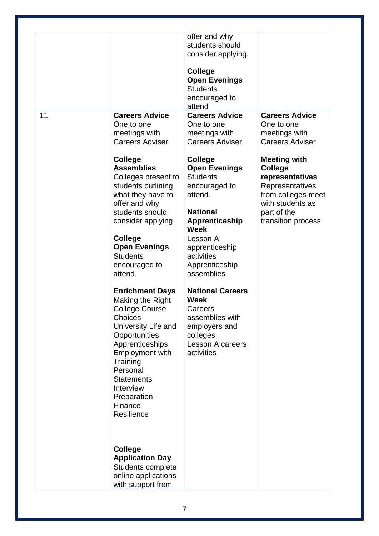|    |                                           | offer and why<br>students should |                                    |
|----|-------------------------------------------|----------------------------------|------------------------------------|
|    |                                           | consider applying.               |                                    |
|    |                                           |                                  |                                    |
|    |                                           | <b>College</b>                   |                                    |
|    |                                           | <b>Open Evenings</b>             |                                    |
|    |                                           | <b>Students</b>                  |                                    |
|    |                                           | encouraged to                    |                                    |
| 11 | <b>Careers Advice</b>                     | attend<br><b>Careers Advice</b>  | <b>Careers Advice</b>              |
|    | One to one                                | One to one                       | One to one                         |
|    | meetings with                             | meetings with                    | meetings with                      |
|    | <b>Careers Adviser</b>                    | <b>Careers Adviser</b>           | <b>Careers Adviser</b>             |
|    |                                           |                                  |                                    |
|    | College                                   | <b>College</b>                   | <b>Meeting with</b>                |
|    | <b>Assemblies</b>                         | <b>Open Evenings</b>             | <b>College</b>                     |
|    | Colleges present to<br>students outlining | <b>Students</b><br>encouraged to | representatives<br>Representatives |
|    | what they have to                         | attend.                          | from colleges meet                 |
|    | offer and why                             |                                  | with students as                   |
|    | students should                           | <b>National</b>                  | part of the                        |
|    | consider applying.                        | Apprenticeship<br><b>Week</b>    | transition process                 |
|    | <b>College</b>                            | Lesson A                         |                                    |
|    | <b>Open Evenings</b>                      | apprenticeship                   |                                    |
|    | <b>Students</b>                           | activities                       |                                    |
|    | encouraged to                             | Apprenticeship                   |                                    |
|    | attend.                                   | assemblies                       |                                    |
|    | <b>Enrichment Days</b>                    | <b>National Careers</b>          |                                    |
|    | Making the Right                          | <b>Week</b>                      |                                    |
|    | <b>College Course</b>                     | Careers                          |                                    |
|    | Choices                                   | assemblies with                  |                                    |
|    | University Life and                       | employers and                    |                                    |
|    | Opportunities                             | colleges                         |                                    |
|    | Apprenticeships                           | <b>Lesson A careers</b>          |                                    |
|    | Employment with<br>Training               | activities                       |                                    |
|    | Personal                                  |                                  |                                    |
|    | <b>Statements</b>                         |                                  |                                    |
|    | Interview                                 |                                  |                                    |
|    | Preparation                               |                                  |                                    |
|    | Finance                                   |                                  |                                    |
|    | Resilience                                |                                  |                                    |
|    |                                           |                                  |                                    |
|    |                                           |                                  |                                    |
|    | <b>College</b>                            |                                  |                                    |
|    | <b>Application Day</b>                    |                                  |                                    |
|    | Students complete                         |                                  |                                    |
|    | online applications                       |                                  |                                    |
|    | with support from                         |                                  |                                    |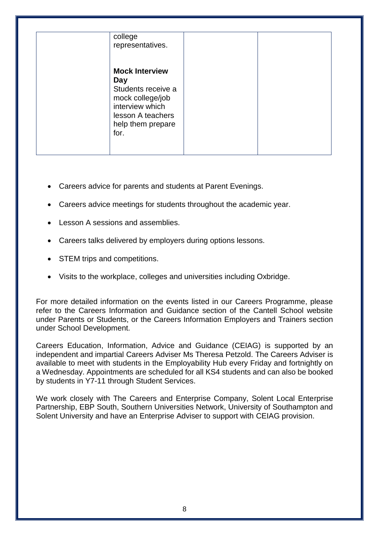| college<br>representatives.                                                                                                                 |  |
|---------------------------------------------------------------------------------------------------------------------------------------------|--|
| <b>Mock Interview</b><br>Day<br>Students receive a<br>mock college/job<br>interview which<br>lesson A teachers<br>help them prepare<br>for. |  |

- Careers advice for parents and students at Parent Evenings.
- Careers advice meetings for students throughout the academic year.
- Lesson A sessions and assemblies.
- Careers talks delivered by employers during options lessons.
- STEM trips and competitions.
- Visits to the workplace, colleges and universities including Oxbridge.

For more detailed information on the events listed in our Careers Programme, please refer to the Careers Information and Guidance section of the Cantell School website under Parents or Students, or the Careers Information Employers and Trainers section under School Development.

Careers Education, Information, Advice and Guidance (CEIAG) is supported by an independent and impartial Careers Adviser Ms Theresa Petzold. The Careers Adviser is available to meet with students in the Employability Hub every Friday and fortnightly on a Wednesday. Appointments are scheduled for all KS4 students and can also be booked by students in Y7-11 through Student Services.

We work closely with The Careers and Enterprise Company, Solent Local Enterprise Partnership, EBP South, Southern Universities Network, University of Southampton and Solent University and have an Enterprise Adviser to support with CEIAG provision.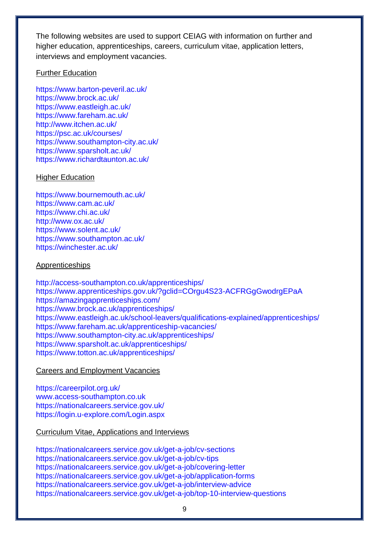The following websites are used to support CEIAG with information on further and higher education, apprenticeships, careers, curriculum vitae, application letters, interviews and employment vacancies.

#### Further Education

<https://www.barton-peveril.ac.uk/> <https://www.brock.ac.uk/> <https://www.eastleigh.ac.uk/> <https://www.fareham.ac.uk/> <http://www.itchen.ac.uk/> <https://psc.ac.uk/courses/> <https://www.southampton-city.ac.uk/> <https://www.sparsholt.ac.uk/> <https://www.richardtaunton.ac.uk/>

#### Higher Education

<https://www.bournemouth.ac.uk/> <https://www.cam.ac.uk/> <https://www.chi.ac.uk/> <http://www.ox.ac.uk/> <https://www.solent.ac.uk/> <https://www.southampton.ac.uk/> <https://winchester.ac.uk/>

#### Apprenticeships

<http://access-southampton.co.uk/apprenticeships/> <https://www.apprenticeships.gov.uk/?gclid=COrgu4S23-ACFRGgGwodrgEPaA> <https://amazingapprenticeships.com/> <https://www.brock.ac.uk/apprenticeships/> <https://www.eastleigh.ac.uk/school-leavers/qualifications-explained/apprenticeships/> <https://www.fareham.ac.uk/apprenticeship-vacancies/> <https://www.southampton-city.ac.uk/apprenticeships/> <https://www.sparsholt.ac.uk/apprenticeships/> <https://www.totton.ac.uk/apprenticeships/>

#### Careers and Employment Vacancies

<https://careerpilot.org.uk/> [www.access-southampton.co.uk](http://www.access-southampton.co.uk/) <https://nationalcareers.service.gov.uk/> <https://login.u-explore.com/Login.aspx>

#### Curriculum Vitae, Applications and Interviews

<https://nationalcareers.service.gov.uk/get-a-job/cv-sections> <https://nationalcareers.service.gov.uk/get-a-job/cv-tips> <https://nationalcareers.service.gov.uk/get-a-job/covering-letter> <https://nationalcareers.service.gov.uk/get-a-job/application-forms> <https://nationalcareers.service.gov.uk/get-a-job/interview-advice> <https://nationalcareers.service.gov.uk/get-a-job/top-10-interview-questions>